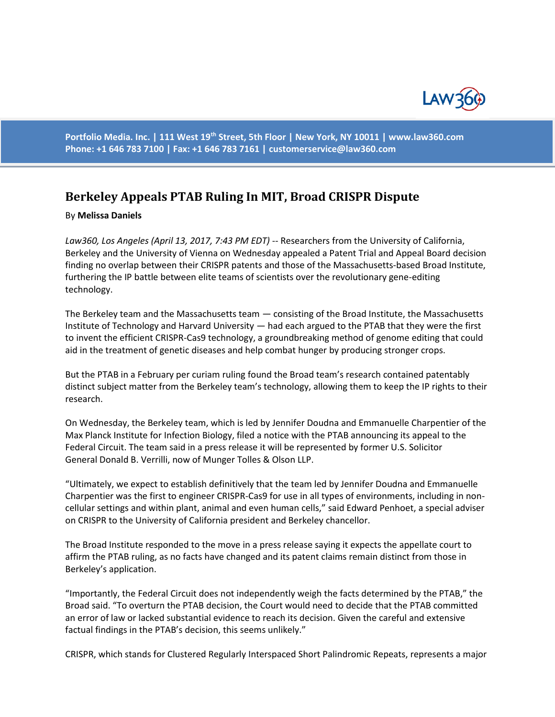

**Portfolio Media. Inc. | 111 West 19th Street, 5th Floor | New York, NY 10011 | www.law360.com Phone: +1 646 783 7100 | Fax: +1 646 783 7161 | [customerservice@law360.com](mailto:customerservice@law360.com)**

## **Berkeley Appeals PTAB Ruling In MIT, Broad CRISPR Dispute**

## By **Melissa Daniels**

*Law360, Los Angeles (April 13, 2017, 7:43 PM EDT)* -- Researchers from the University of California, Berkeley and the University of Vienna on Wednesday appealed a Patent Trial and Appeal Board decision finding no overlap between their CRISPR patents and those of the Massachusetts-based Broad Institute, furthering the IP battle between elite teams of scientists over the revolutionary gene-editing technology.

The Berkeley team and the Massachusetts team — consisting of the Broad Institute, the Massachusetts Institute of Technology and Harvard University — had each argued to the PTAB that they were the first to invent the efficient CRISPR-Cas9 technology, a groundbreaking method of genome editing that could aid in the treatment of genetic diseases and help combat hunger by producing stronger crops.

But the PTAB in a February per curiam ruling found the Broad team's research contained patentably distinct subject matter from the Berkeley team's technology, allowing them to keep the IP rights to their research.

On Wednesday, the Berkeley team, which is led by Jennifer Doudna and Emmanuelle Charpentier of the Max Planck Institute for Infection Biology, filed a notice with the PTAB announcing its appeal to the Federal Circuit. The team said in a press release it will be represented by former U.S. Solicitor General Donald B. Verrilli, now of Munger Tolles & Olson LLP.

"Ultimately, we expect to establish definitively that the team led by Jennifer Doudna and Emmanuelle Charpentier was the first to engineer CRISPR-Cas9 for use in all types of environments, including in noncellular settings and within plant, animal and even human cells," said Edward Penhoet, a special adviser on CRISPR to the University of California president and Berkeley chancellor.

The Broad Institute responded to the move in a press release saying it expects the appellate court to affirm the PTAB ruling, as no facts have changed and its patent claims remain distinct from those in Berkeley's application.

"Importantly, the Federal Circuit does not independently weigh the facts determined by the PTAB," the Broad said. "To overturn the PTAB decision, the Court would need to decide that the PTAB committed an error of law or lacked substantial evidence to reach its decision. Given the careful and extensive factual findings in the PTAB's decision, this seems unlikely."

CRISPR, which stands for Clustered Regularly Interspaced Short Palindromic Repeats, represents a major